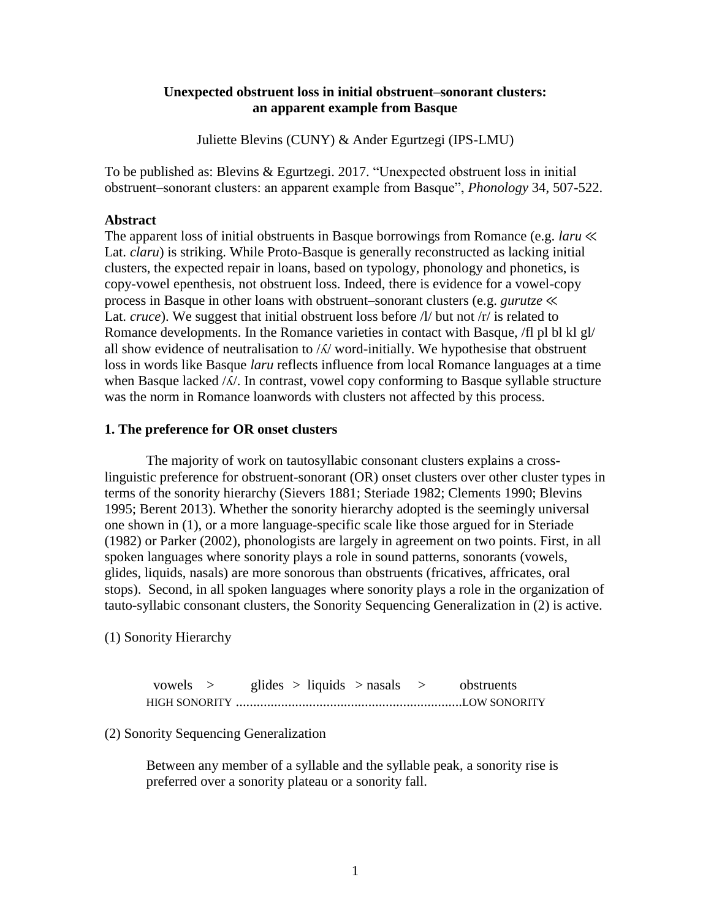# **Unexpected obstruent loss in initial obstruent–sonorant clusters: an apparent example from Basque**

Juliette Blevins (CUNY) & Ander Egurtzegi (IPS-LMU)

To be published as: Blevins & Egurtzegi. 2017. "Unexpected obstruent loss in initial obstruent–sonorant clusters: an apparent example from Basque", *Phonology* 34, 507-522.

#### **Abstract**

The apparent loss of initial obstruents in Basque borrowings from Romance (e.g. *laru* ≪ Lat. *claru*) is striking. While Proto-Basque is generally reconstructed as lacking initial clusters, the expected repair in loans, based on typology, phonology and phonetics, is copy-vowel epenthesis, not obstruent loss. Indeed, there is evidence for a vowel-copy process in Basque in other loans with obstruent–sonorant clusters (e.g. *gurutze* ≪ Lat. *cruce*). We suggest that initial obstruent loss before  $\Lambda$  but not  $\Lambda$  is related to Romance developments. In the Romance varieties in contact with Basque, /fl pl bl kl gl/ all show evidence of neutralisation to  $/\lambda$  word-initially. We hypothesise that obstruent loss in words like Basque *laru* reflects influence from local Romance languages at a time when Basque lacked / $\Lambda$ /. In contrast, vowel copy conforming to Basque syllable structure was the norm in Romance loanwords with clusters not affected by this process.

### **1. The preference for OR onset clusters**

The majority of work on tautosyllabic consonant clusters explains a crosslinguistic preference for obstruent-sonorant (OR) onset clusters over other cluster types in terms of the sonority hierarchy (Sievers 1881; Steriade 1982; Clements 1990; Blevins 1995; Berent 2013). Whether the sonority hierarchy adopted is the seemingly universal one shown in (1), or a more language-specific scale like those argued for in Steriade (1982) or Parker (2002), phonologists are largely in agreement on two points. First, in all spoken languages where sonority plays a role in sound patterns, sonorants (vowels, glides, liquids, nasals) are more sonorous than obstruents (fricatives, affricates, oral stops). Second, in all spoken languages where sonority plays a role in the organization of tauto-syllabic consonant clusters, the Sonority Sequencing Generalization in (2) is active.

(1) Sonority Hierarchy

| vowels > |  | glides $>$ liquids $>$ nasals $>$ |  | obstruents |
|----------|--|-----------------------------------|--|------------|
|          |  |                                   |  |            |

(2) Sonority Sequencing Generalization

Between any member of a syllable and the syllable peak, a sonority rise is preferred over a sonority plateau or a sonority fall.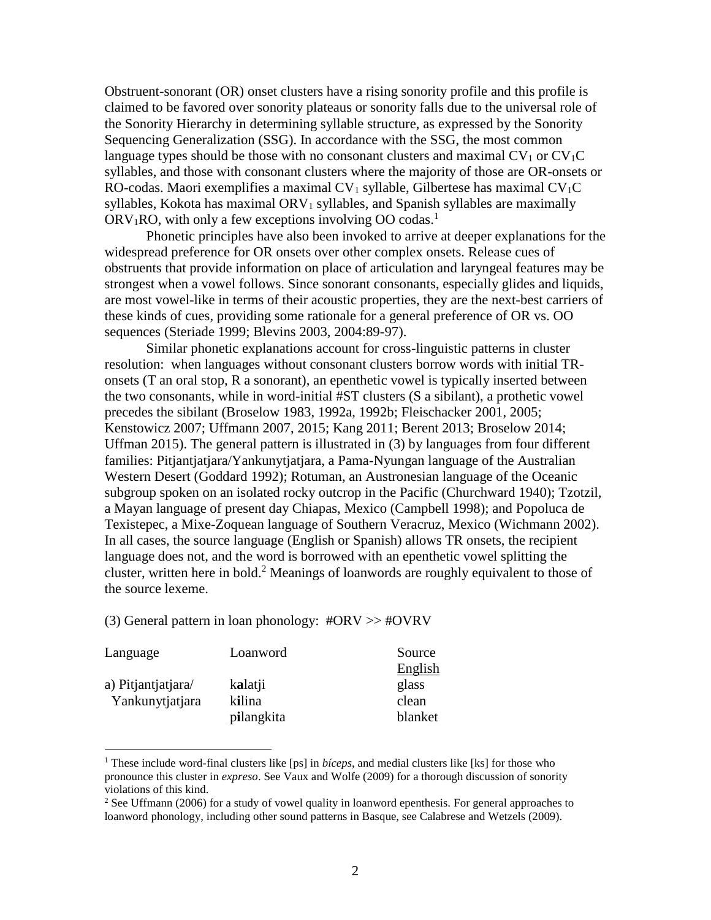Obstruent-sonorant (OR) onset clusters have a rising sonority profile and this profile is claimed to be favored over sonority plateaus or sonority falls due to the universal role of the Sonority Hierarchy in determining syllable structure, as expressed by the Sonority Sequencing Generalization (SSG). In accordance with the SSG, the most common language types should be those with no consonant clusters and maximal  $CV_1$  or  $CV_1C$ syllables, and those with consonant clusters where the majority of those are OR-onsets or RO-codas. Maori exemplifies a maximal  $CV_1$  syllable, Gilbertese has maximal  $CV_1C$ syllables, Kokota has maximal  $ORV<sub>1</sub>$  syllables, and Spanish syllables are maximally  $ORV<sub>1</sub>RO$ , with only a few exceptions involving OO codas.<sup>1</sup>

Phonetic principles have also been invoked to arrive at deeper explanations for the widespread preference for OR onsets over other complex onsets. Release cues of obstruents that provide information on place of articulation and laryngeal features may be strongest when a vowel follows. Since sonorant consonants, especially glides and liquids, are most vowel-like in terms of their acoustic properties, they are the next-best carriers of these kinds of cues, providing some rationale for a general preference of OR vs. OO sequences (Steriade 1999; Blevins 2003, 2004:89-97).

Similar phonetic explanations account for cross-linguistic patterns in cluster resolution: when languages without consonant clusters borrow words with initial TRonsets (T an oral stop, R a sonorant), an epenthetic vowel is typically inserted between the two consonants, while in word-initial #ST clusters (S a sibilant), a prothetic vowel precedes the sibilant (Broselow 1983, 1992a, 1992b; Fleischacker 2001, 2005; Kenstowicz 2007; Uffmann 2007, 2015; Kang 2011; Berent 2013; Broselow 2014; Uffman 2015). The general pattern is illustrated in (3) by languages from four different families: Pitjantjatjara/Yankunytjatjara, a Pama-Nyungan language of the Australian Western Desert (Goddard 1992); Rotuman, an Austronesian language of the Oceanic subgroup spoken on an isolated rocky outcrop in the Pacific (Churchward 1940); Tzotzil, a Mayan language of present day Chiapas, Mexico (Campbell 1998); and Popoluca de Texistepec, a Mixe-Zoquean language of Southern Veracruz, Mexico (Wichmann 2002). In all cases, the source language (English or Spanish) allows TR onsets, the recipient language does not, and the word is borrowed with an epenthetic vowel splitting the cluster, written here in bold.<sup>2</sup> Meanings of loanwords are roughly equivalent to those of the source lexeme.

(3) General pattern in loan phonology: #ORV >> #OVRV

| Language           | Loanword   | Source         |
|--------------------|------------|----------------|
|                    |            | <b>English</b> |
| a) Pitjantjatjara/ | kalatji    | glass          |
| Yankunytjatjara    | kilina     | clean          |
|                    | pilangkita | blanket        |

<sup>1</sup> These include word-final clusters like [ps] in *bíceps*, and medial clusters like [ks] for those who pronounce this cluster in *expreso*. See Vaux and Wolfe (2009) for a thorough discussion of sonority violations of this kind.

 $2$  See Uffmann (2006) for a study of vowel quality in loanword epenthesis. For general approaches to loanword phonology, including other sound patterns in Basque, see Calabrese and Wetzels (2009).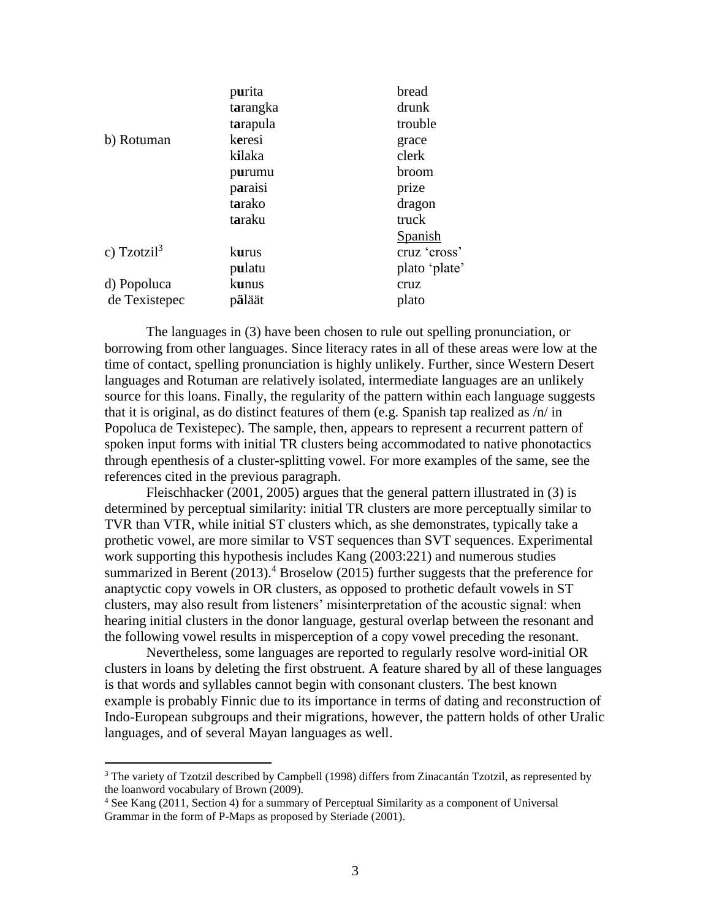|               | purita       | bread          |
|---------------|--------------|----------------|
|               | tarangka     | drunk          |
|               | tarapula     | trouble        |
| b) Rotuman    | keresi       | grace          |
|               | kilaka       | clerk          |
|               | purumu       | broom          |
|               | paraisi      | prize          |
|               | tarako       | dragon         |
|               | taraku       | truck          |
|               |              | <b>Spanish</b> |
| c) $Tzotzi3$  | kurus        | cruz 'cross'   |
|               | pulatu       | plato 'plate'  |
| d) Popoluca   | <b>kunus</b> | cruz           |
| de Texistepec | päläät       | plato          |
|               |              |                |

The languages in (3) have been chosen to rule out spelling pronunciation, or borrowing from other languages. Since literacy rates in all of these areas were low at the time of contact, spelling pronunciation is highly unlikely. Further, since Western Desert languages and Rotuman are relatively isolated, intermediate languages are an unlikely source for this loans. Finally, the regularity of the pattern within each language suggests that it is original, as do distinct features of them (e.g. Spanish tap realized as  $/n/$  in Popoluca de Texistepec). The sample, then, appears to represent a recurrent pattern of spoken input forms with initial TR clusters being accommodated to native phonotactics through epenthesis of a cluster-splitting vowel. For more examples of the same, see the references cited in the previous paragraph.

Fleischhacker (2001, 2005) argues that the general pattern illustrated in (3) is determined by perceptual similarity: initial TR clusters are more perceptually similar to TVR than VTR, while initial ST clusters which, as she demonstrates, typically take a prothetic vowel, are more similar to VST sequences than SVT sequences. Experimental work supporting this hypothesis includes Kang (2003:221) and numerous studies summarized in Berent  $(2013)$ .<sup>4</sup> Broselow (2015) further suggests that the preference for anaptyctic copy vowels in OR clusters, as opposed to prothetic default vowels in ST clusters, may also result from listeners' misinterpretation of the acoustic signal: when hearing initial clusters in the donor language, gestural overlap between the resonant and the following vowel results in misperception of a copy vowel preceding the resonant.

Nevertheless, some languages are reported to regularly resolve word-initial OR clusters in loans by deleting the first obstruent. A feature shared by all of these languages is that words and syllables cannot begin with consonant clusters. The best known example is probably Finnic due to its importance in terms of dating and reconstruction of Indo-European subgroups and their migrations, however, the pattern holds of other Uralic languages, and of several Mayan languages as well.

 $3$  The variety of Tzotzil described by Campbell (1998) differs from Zinacantán Tzotzil, as represented by the loanword vocabulary of Brown (2009).

<sup>4</sup> See Kang (2011, Section 4) for a summary of Perceptual Similarity as a component of Universal Grammar in the form of P-Maps as proposed by Steriade (2001).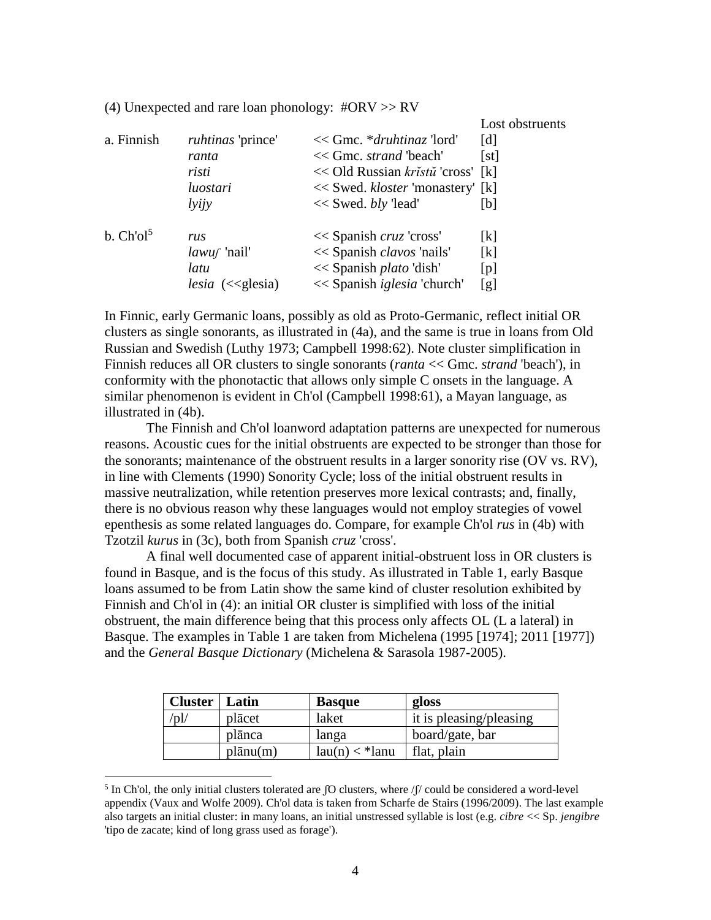(4) Unexpected and rare loan phonology: #ORV >> RV

Lost obstruents

| a. Finnish            | ruhtinas 'prince'<br>ranta<br>risti<br>luostari<br>lyijy | $<<$ Gmc. * <i>druhtinaz</i> 'lord'<br><< Gmc. strand 'beach'<br><< Old Russian kristu 'cross' [k]<br><< Swed. kloster 'monastery' [k]<br>$<<$ Swed. bly 'lead' | [d]<br>[st]<br>Ibl        |
|-----------------------|----------------------------------------------------------|-----------------------------------------------------------------------------------------------------------------------------------------------------------------|---------------------------|
| b. Ch'ol <sup>5</sup> | rus                                                      | $<<$ Spanish cruz 'cross'                                                                                                                                       | $\left[\mathrm{k}\right]$ |
|                       | $lawuf$ 'nail'                                           | << Spanish <i>clavos</i> 'nails'                                                                                                                                | [k]                       |
|                       | latu                                                     | << Spanish <i>plato</i> 'dish'                                                                                                                                  | [p]                       |
|                       | $lesia \; (<\leq$ glesia)                                | << Spanish <i>iglesia</i> 'church'                                                                                                                              | [g]                       |

In Finnic, early Germanic loans, possibly as old as Proto-Germanic, reflect initial OR clusters as single sonorants, as illustrated in (4a), and the same is true in loans from Old Russian and Swedish (Luthy 1973; Campbell 1998:62). Note cluster simplification in Finnish reduces all OR clusters to single sonorants (*ranta* << Gmc. *strand* 'beach'), in conformity with the phonotactic that allows only simple C onsets in the language. A similar phenomenon is evident in Ch'ol (Campbell 1998:61), a Mayan language, as illustrated in (4b).

The Finnish and Ch'ol loanword adaptation patterns are unexpected for numerous reasons. Acoustic cues for the initial obstruents are expected to be stronger than those for the sonorants; maintenance of the obstruent results in a larger sonority rise (OV vs. RV), in line with Clements (1990) Sonority Cycle; loss of the initial obstruent results in massive neutralization, while retention preserves more lexical contrasts; and, finally, there is no obvious reason why these languages would not employ strategies of vowel epenthesis as some related languages do. Compare, for example Ch'ol *rus* in (4b) with Tzotzil *kurus* in (3c), both from Spanish *cruz* 'cross'.

A final well documented case of apparent initial-obstruent loss in OR clusters is found in Basque, and is the focus of this study. As illustrated in Table 1, early Basque loans assumed to be from Latin show the same kind of cluster resolution exhibited by Finnish and Ch'ol in (4): an initial OR cluster is simplified with loss of the initial obstruent, the main difference being that this process only affects OL (L a lateral) in Basque. The examples in Table 1 are taken from Michelena (1995 [1974]; 2011 [1977]) and the *General Basque Dictionary* (Michelena & Sarasola 1987-2005).

| <b>Cluster</b> | Latin    | <b>Basque</b>    | gloss                   |
|----------------|----------|------------------|-------------------------|
| $\mathcal{D}'$ | placet   | laket            | it is pleasing/pleasing |
|                | plānca   | langa            | board/gate, bar         |
|                | plānu(m) | $lau(n) <$ *lanu | flat, plain             |

<sup>&</sup>lt;sup>5</sup> In Ch'ol, the only initial clusters tolerated are  $\int$ O clusters, where  $\int$  could be considered a word-level appendix (Vaux and Wolfe 2009). Ch'ol data is taken from Scharfe de Stairs (1996/2009). The last example also targets an initial cluster: in many loans, an initial unstressed syllable is lost (e.g. *cibre* << Sp. *jengibre* 'tipo de zacate; kind of long grass used as forage').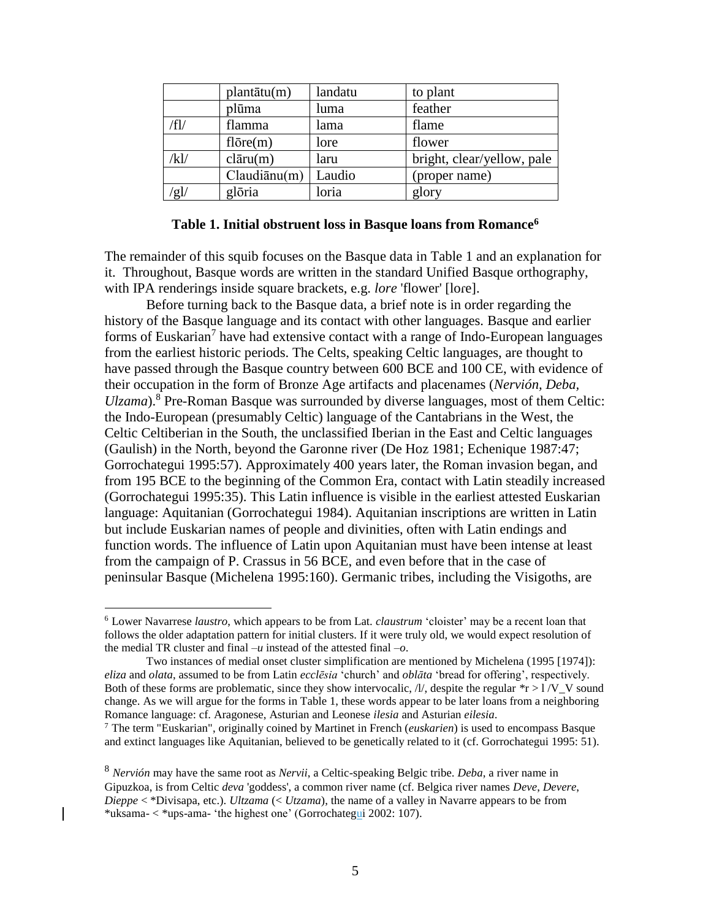|      | plantātu(m)      | landatu | to plant                   |
|------|------------------|---------|----------------------------|
|      | plūma            | luma    | feather                    |
| /fl/ | flamma           | lama    | flame                      |
|      | $fl\bar{o}re(m)$ | lore    | flower                     |
| /kl/ | clāru(m)         | laru    | bright, clear/yellow, pale |
|      | Claudiānu(m)     | Laudio  | (proper name)              |
| 'gl/ | glōria           | loria   | glory                      |

## **Table 1. Initial obstruent loss in Basque loans from Romance<sup>6</sup>**

The remainder of this squib focuses on the Basque data in Table 1 and an explanation for it. Throughout, Basque words are written in the standard Unified Basque orthography, with IPA renderings inside square brackets, e.g. *lore* 'flower' [lore].

Before turning back to the Basque data, a brief note is in order regarding the history of the Basque language and its contact with other languages. Basque and earlier forms of Euskarian<sup>7</sup> have had extensive contact with a range of Indo-European languages from the earliest historic periods. The Celts, speaking Celtic languages, are thought to have passed through the Basque country between 600 BCE and 100 CE, with evidence of their occupation in the form of Bronze Age artifacts and placenames (*Nervión, Deba, Ulzama*).<sup>8</sup> Pre-Roman Basque was surrounded by diverse languages, most of them Celtic: the Indo-European (presumably Celtic) language of the Cantabrians in the West, the Celtic Celtiberian in the South, the unclassified Iberian in the East and Celtic languages (Gaulish) in the North, beyond the Garonne river (De Hoz 1981; Echenique 1987:47; Gorrochategui 1995:57). Approximately 400 years later, the Roman invasion began, and from 195 BCE to the beginning of the Common Era, contact with Latin steadily increased (Gorrochategui 1995:35). This Latin influence is visible in the earliest attested Euskarian language: Aquitanian (Gorrochategui 1984). Aquitanian inscriptions are written in Latin but include Euskarian names of people and divinities, often with Latin endings and function words. The influence of Latin upon Aquitanian must have been intense at least from the campaign of P. Crassus in 56 BCE, and even before that in the case of peninsular Basque (Michelena 1995:160). Germanic tribes, including the Visigoths, are

<sup>6</sup> Lower Navarrese *laustro*, which appears to be from Lat. *claustrum* 'cloister' may be a recent loan that follows the older adaptation pattern for initial clusters. If it were truly old, we would expect resolution of the medial TR cluster and final  $-u$  instead of the attested final  $-o$ .

Two instances of medial onset cluster simplification are mentioned by Michelena (1995 [1974]): *eliza* and *olata*, assumed to be from Latin *ecclēsia* 'church' and *oblāta* 'bread for offering', respectively. Both of these forms are problematic, since they show intervocalic,  $\Lambda$ , despite the regular \*r >  $1/\mathrm{V}$ \_V sound change. As we will argue for the forms in Table 1, these words appear to be later loans from a neighboring Romance language: cf. Aragonese, Asturian and Leonese *ilesia* and Asturian *eilesia*.

<sup>7</sup> The term "Euskarian", originally coined by Martinet in French (*euskarien*) is used to encompass Basque and extinct languages like Aquitanian, believed to be genetically related to it (cf. Gorrochategui 1995: 51).

<sup>8</sup> *Nervión* may have the same root as *Nervii*, a Celtic-speaking Belgic tribe. *Deba*, a river name in Gipuzkoa, is from Celtic *deva* 'goddess', a common river name (cf. Belgica river names *Deve*, *Devere*, *Dieppe* < \*Divisapa, etc.). *Ultzama* (< *Utzama*), the name of a valley in Navarre appears to be from \*uksama- < \*ups-ama- 'the highest one' (Gorrochategui 2002: 107).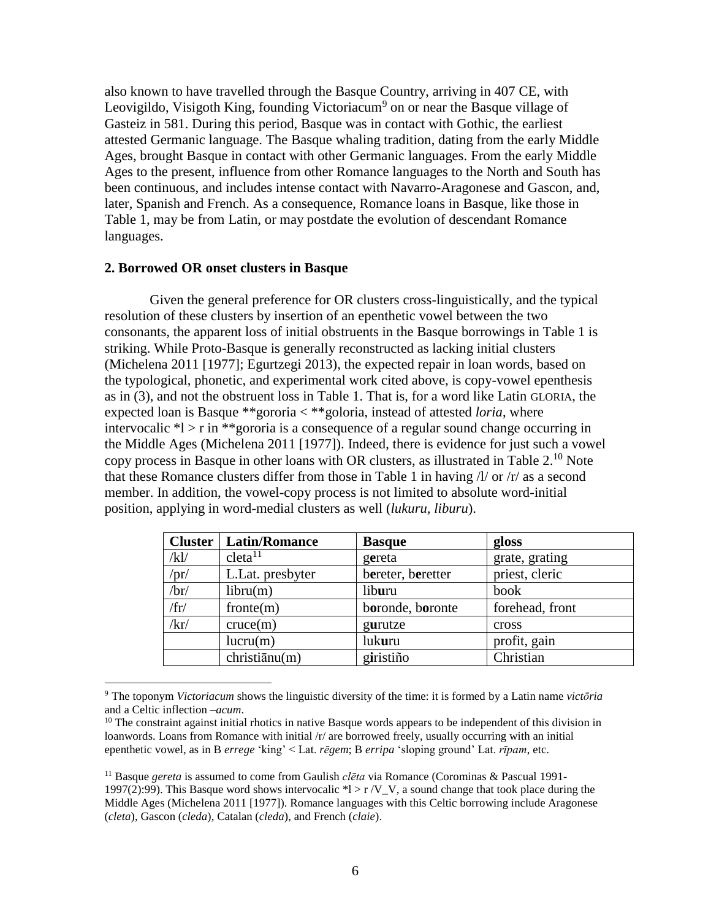also known to have travelled through the Basque Country, arriving in 407 CE, with Leovigildo, Visigoth King, founding Victoriacum<sup>9</sup> on or near the Basque village of Gasteiz in 581. During this period, Basque was in contact with Gothic, the earliest attested Germanic language. The Basque whaling tradition, dating from the early Middle Ages, brought Basque in contact with other Germanic languages. From the early Middle Ages to the present, influence from other Romance languages to the North and South has been continuous, and includes intense contact with Navarro-Aragonese and Gascon, and, later, Spanish and French. As a consequence, Romance loans in Basque, like those in Table 1, may be from Latin, or may postdate the evolution of descendant Romance languages.

# **2. Borrowed OR onset clusters in Basque**

 $\overline{a}$ 

Given the general preference for OR clusters cross-linguistically, and the typical resolution of these clusters by insertion of an epenthetic vowel between the two consonants, the apparent loss of initial obstruents in the Basque borrowings in Table 1 is striking. While Proto-Basque is generally reconstructed as lacking initial clusters (Michelena 2011 [1977]; Egurtzegi 2013), the expected repair in loan words, based on the typological, phonetic, and experimental work cited above, is copy-vowel epenthesis as in (3), and not the obstruent loss in Table 1. That is, for a word like Latin GLORIA, the expected loan is Basque \*\*gororia < \*\*goloria, instead of attested *loria*, where intervocalic  $*l > r$  in  $**$ gororia is a consequence of a regular sound change occurring in the Middle Ages (Michelena 2011 [1977]). Indeed, there is evidence for just such a vowel copy process in Basque in other loans with OR clusters, as illustrated in Table 2.<sup>10</sup> Note that these Romance clusters differ from those in Table 1 in having  $\frac{1}{x}$  or  $\frac{1}{x}$  as a second member. In addition, the vowel-copy process is not limited to absolute word-initial position, applying in word-medial clusters as well (*lukuru, liburu*).

| <b>Cluster</b> | <b>Latin/Romance</b> | <b>Basque</b>     | gloss           |
|----------------|----------------------|-------------------|-----------------|
| /kl/           | cleta <sup>11</sup>  | gereta            | grate, grating  |
| $\pi/$         | L.Lat. presbyter     | bereter, beretter | priest, cleric  |
| $\sqrt{b}r/$   | libru(m)             | liburu            | book            |
| /fr/           | fronte(m)            | boronde, boronte  | forehead, front |
| /kr/           | cruce(m)             | gurutze           | cross           |
|                | lucru(m)             | lukuru            | profit, gain    |
|                | christiānu(m)        | giristiño         | Christian       |

<sup>9</sup> The toponym *Victoriacum* shows the linguistic diversity of the time: it is formed by a Latin name *victōria* and a Celtic inflection –*acum*.

<sup>&</sup>lt;sup>10</sup> The constraint against initial rhotics in native Basque words appears to be independent of this division in loanwords. Loans from Romance with initial /r/ are borrowed freely, usually occurring with an initial epenthetic vowel, as in B *errege* 'king' < Lat. *rēgem*; B *erripa* 'sloping ground' Lat. *rīpam*, etc.

<sup>11</sup> Basque *gereta* is assumed to come from Gaulish *clēta* via Romance (Corominas & Pascual 1991- 1997(2):99). This Basque word shows intervocalic  $*$ l > r /V V, a sound change that took place during the Middle Ages (Michelena 2011 [1977]). Romance languages with this Celtic borrowing include Aragonese (*cleta*), Gascon (*cleda*), Catalan (*cleda*), and French (*claie*).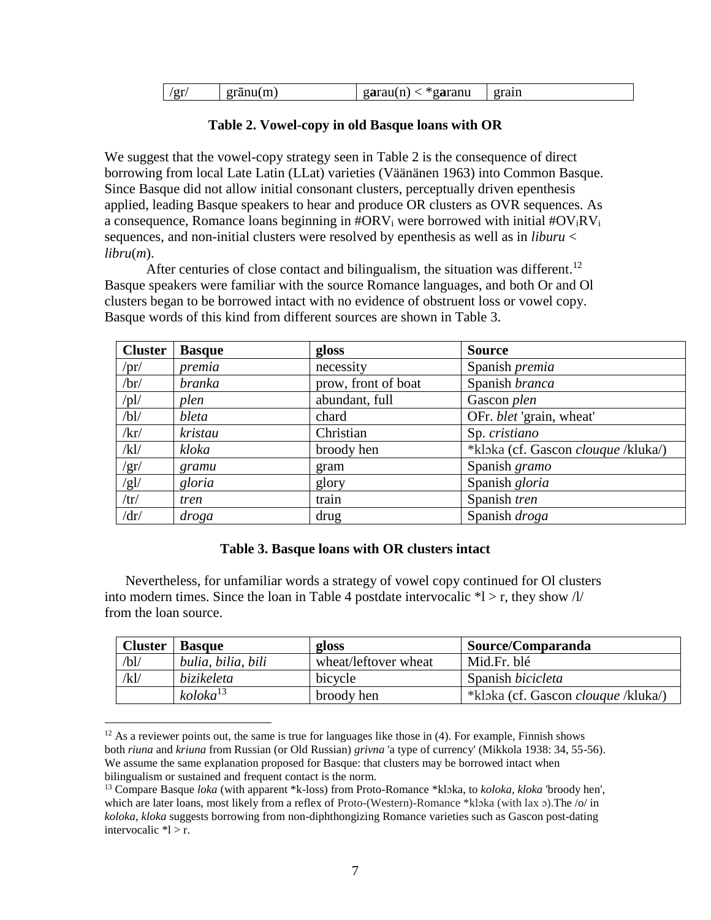| ′gr<br>eranu(m) | aranu<br>garau(n<br>oa.<br>. | grain |
|-----------------|------------------------------|-------|
|-----------------|------------------------------|-------|

# **Table 2. Vowel-copy in old Basque loans with OR**

We suggest that the vowel-copy strategy seen in Table 2 is the consequence of direct borrowing from local Late Latin (LLat) varieties (Väänänen 1963) into Common Basque. Since Basque did not allow initial consonant clusters, perceptually driven epenthesis applied, leading Basque speakers to hear and produce OR clusters as OVR sequences. As a consequence, Romance loans beginning in  $\# \text{ORV}_i$  were borrowed with initial  $\# \text{OV}_i \text{RV}_i$ sequences, and non-initial clusters were resolved by epenthesis as well as in *liburu* < *libru*(*m*).

After centuries of close contact and bilingualism, the situation was different.<sup>12</sup> Basque speakers were familiar with the source Romance languages, and both Or and Ol clusters began to be borrowed intact with no evidence of obstruent loss or vowel copy. Basque words of this kind from different sources are shown in Table 3.

| <b>Cluster</b> | <b>Basque</b> | gloss               | <b>Source</b>                              |
|----------------|---------------|---------------------|--------------------------------------------|
| /pr/           | premia        | necessity           | Spanish premia                             |
| /br/           | branka        | prow, front of boat | Spanish branca                             |
| $\frac{1}{2}$  | plen          | abundant, full      | Gascon plen                                |
| /bl/           | bleta         | chard               | OFr. blet 'grain, wheat'                   |
| /kr/           | kristau       | Christian           | Sp. cristiano                              |
| /kl/           | kloka         | broody hen          | *kloka (cf. Gascon <i>clouque</i> /kluka/) |
| /gr/           | gramu         | gram                | Spanish gramo                              |
| /gl/           | gloria        | glory               | Spanish gloria                             |
| /tr/           | tren          | train               | Spanish tren                               |
| /dr/           | droga         | drug                | Spanish droga                              |

## **Table 3. Basque loans with OR clusters intact**

Nevertheless, for unfamiliar words a strategy of vowel copy continued for Ol clusters into modern times. Since the loan in Table 4 postdate intervocalic  $*l > r$ , they show  $\frac{l}{l}$ from the loan source.

| <b>Cluster</b> | <b>Basque</b>        | gloss                | Source/Comparanda                          |
|----------------|----------------------|----------------------|--------------------------------------------|
| /bl/           | bulia, bilia, bili   | wheat/leftover wheat | Mid.Fr. blé                                |
| /kl/           | bizikeleta           | bicycle              | Spanish <i>bicicleta</i>                   |
|                | koloka <sup>13</sup> | broody hen           | *kloka (cf. Gascon <i>clouque</i> /kluka/) |

 $12$  As a reviewer points out, the same is true for languages like those in (4). For example, Finnish shows both *riuna* and *kriuna* from Russian (or Old Russian) *grivna* 'a type of currency' (Mikkola 1938: 34, 55-56). We assume the same explanation proposed for Basque: that clusters may be borrowed intact when bilingualism or sustained and frequent contact is the norm.

<sup>13</sup> Compare Basque *loka* (with apparent \*k-loss) from Proto-Romance \*klɔka, to *koloka, kloka* 'broody hen', which are later loans, most likely from a reflex of Proto-(Western)-Romance \*kloka (with lax  $\sigma$ ). The /o/ in *koloka*, *kloka* suggests borrowing from non-diphthongizing Romance varieties such as Gascon post-dating intervocalic  $\text{*}$ l > r.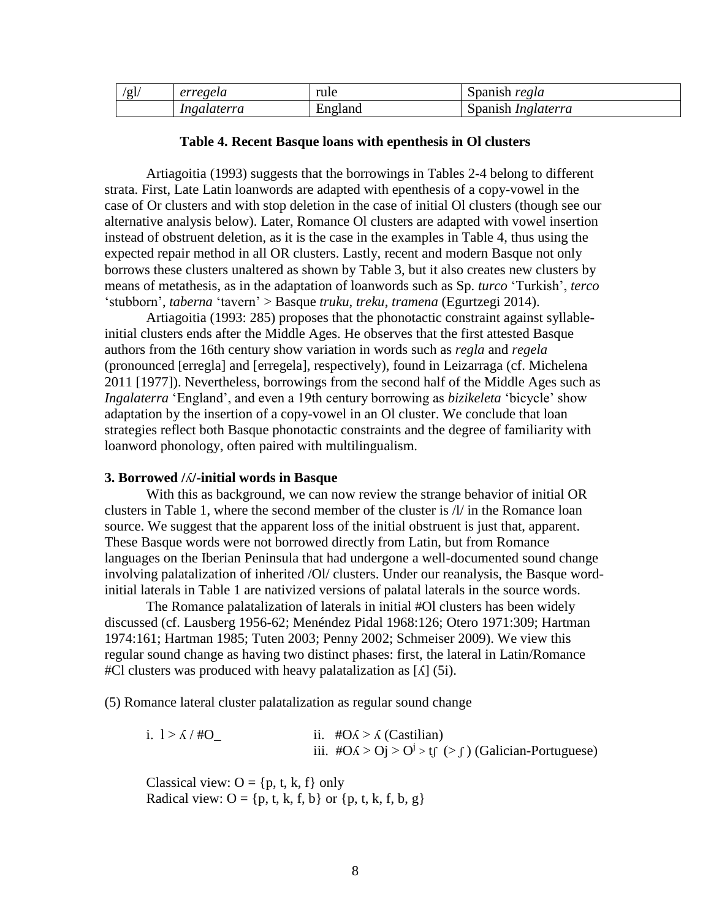| Ίg | erregela    | rule    | Spanish<br>regla          |
|----|-------------|---------|---------------------------|
|    | Ingalaterra | England | spanish <i>Inglaterra</i> |

#### **Table 4. Recent Basque loans with epenthesis in Ol clusters**

Artiagoitia (1993) suggests that the borrowings in Tables 2-4 belong to different strata. First, Late Latin loanwords are adapted with epenthesis of a copy-vowel in the case of Or clusters and with stop deletion in the case of initial Ol clusters (though see our alternative analysis below). Later, Romance Ol clusters are adapted with vowel insertion instead of obstruent deletion, as it is the case in the examples in Table 4, thus using the expected repair method in all OR clusters. Lastly, recent and modern Basque not only borrows these clusters unaltered as shown by Table 3, but it also creates new clusters by means of metathesis, as in the adaptation of loanwords such as Sp. *turco* 'Turkish', *terco* 'stubborn', *taberna* 'tavern' > Basque *truku*, *treku*, *tramena* (Egurtzegi 2014).

Artiagoitia (1993: 285) proposes that the phonotactic constraint against syllableinitial clusters ends after the Middle Ages. He observes that the first attested Basque authors from the 16th century show variation in words such as *regla* and *regela* (pronounced [erregla] and [erregela], respectively), found in Leizarraga (cf. Michelena 2011 [1977]). Nevertheless, borrowings from the second half of the Middle Ages such as *Ingalaterra* 'England', and even a 19th century borrowing as *bizikeleta* 'bicycle' show adaptation by the insertion of a copy-vowel in an Ol cluster. We conclude that loan strategies reflect both Basque phonotactic constraints and the degree of familiarity with loanword phonology, often paired with multilingualism.

### **3. Borrowed /**ʎ**/-initial words in Basque**

With this as background, we can now review the strange behavior of initial OR clusters in Table 1, where the second member of the cluster is /l/ in the Romance loan source. We suggest that the apparent loss of the initial obstruent is just that, apparent. These Basque words were not borrowed directly from Latin, but from Romance languages on the Iberian Peninsula that had undergone a well-documented sound change involving palatalization of inherited /Ol/ clusters. Under our reanalysis, the Basque wordinitial laterals in Table 1 are nativized versions of palatal laterals in the source words.

The Romance palatalization of laterals in initial #Ol clusters has been widely discussed (cf. Lausberg 1956-62; Menéndez Pidal 1968:126; Otero 1971:309; Hartman 1974:161; Hartman 1985; Tuten 2003; Penny 2002; Schmeiser 2009). We view this regular sound change as having two distinct phases: first, the lateral in Latin/Romance  $#Cl$  clusters was produced with heavy palatalization as [ $\Lambda$ ] (5i).

(5) Romance lateral cluster palatalization as regular sound change

i.  $1 > \lambda / HQ$  ii.  $\#O\lambda > \lambda$  (Castilian) iii.  $\#O\Lambda > Oj > O^j > tf > f$  (Galician-Portuguese)

Classical view:  $O = \{p, t, k, f\}$  only Radical view:  $O = \{p, t, k, f, b\}$  or  $\{p, t, k, f, b, g\}$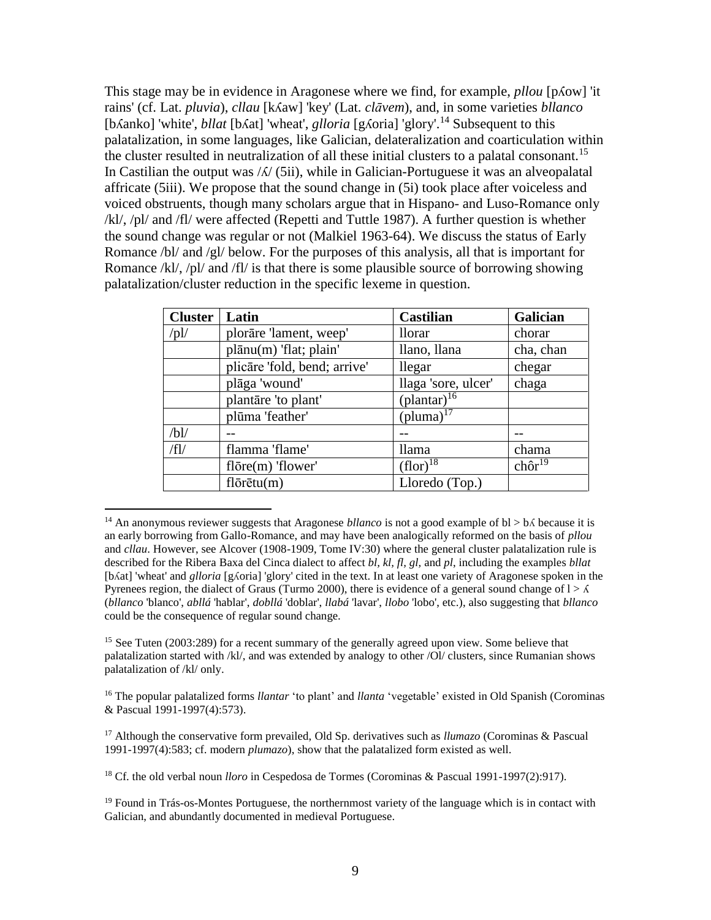This stage may be in evidence in Aragonese where we find, for example, *pllou* [pʎow] 'it rains' (cf. Lat. *pluvia*), *cllau* [kʎaw] 'key' (Lat. *clāvem*), and, in some varieties *bllanco* [bʌanko] 'white', *bllat* [bʌat] 'wheat', *glloria* [gʌoria] 'glory'.<sup>14</sup> Subsequent to this palatalization, in some languages, like Galician, delateralization and coarticulation within the cluster resulted in neutralization of all these initial clusters to a palatal consonant.<sup>15</sup> In Castilian the output was  $\frac{\lambda}{\sqrt{5}}$  (5ii), while in Galician-Portuguese it was an alveopalatal affricate (5iii). We propose that the sound change in (5i) took place after voiceless and voiced obstruents, though many scholars argue that in Hispano- and Luso-Romance only /kl/, /pl/ and /fl/ were affected (Repetti and Tuttle 1987). A further question is whether the sound change was regular or not (Malkiel 1963-64). We discuss the status of Early Romance /bl/ and /gl/ below. For the purposes of this analysis, all that is important for Romance /kl/, /pl/ and /fl/ is that there is some plausible source of borrowing showing palatalization/cluster reduction in the specific lexeme in question.

| <b>Cluster</b> | Latin                         | <b>Castilian</b>                   | Galician               |
|----------------|-------------------------------|------------------------------------|------------------------|
| $\sqrt{pl/}$   | plorāre 'lament, weep'        | <i>llorar</i>                      | chorar                 |
|                | plānu(m) 'flat; plain'        | llano, llana                       | cha, chan              |
|                | plicare 'fold, bend; arrive'  | llegar                             | chegar                 |
|                | plāga 'wound'                 | llaga 'sore, ulcer'                | chaga                  |
|                | plantāre 'to plant'           | $\left(\text{plantar}\right)^{16}$ |                        |
|                | plūma 'feather'               | $(pluma)^{17}$                     |                        |
| /bl/           |                               |                                    |                        |
| $/f$ l         | flamma 'flame'                | <i>llama</i>                       | chama                  |
|                | $fl\bar{o}$ re $(m)$ 'flower' | $(flor)^{18}$                      | $ch\hat{\sigma}r^{19}$ |
|                | $fl\bar{o}$ rētu $(m)$        | Lloredo (Top.)                     |                        |

<sup>&</sup>lt;sup>14</sup> An anonymous reviewer suggests that Aragonese *bllanco* is not a good example of  $bl > b\Lambda$  because it is an early borrowing from Gallo-Romance, and may have been analogically reformed on the basis of *pllou* and *cllau*. However, see Alcover (1908-1909, Tome IV:30) where the general cluster palatalization rule is described for the Ribera Baxa del Cinca dialect to affect *bl, kl, fl, gl,* and *pl*, including the examples *bllat* [bʎat] 'wheat' and *glloria* [gʎoria] 'glory' cited in the text. In at least one variety of Aragonese spoken in the Pyrenees region, the dialect of Graus (Turmo 2000), there is evidence of a general sound change of  $1 > \Lambda$ (*bllanco* 'blanco', *abllá* 'hablar', *dobllá* 'doblar', *llabá* 'lavar', *llobo* 'lobo', etc.), also suggesting that *bllanco* could be the consequence of regular sound change.

 $\overline{a}$ 

<sup>16</sup> The popular palatalized forms *llantar* 'to plant' and *llanta* 'vegetable' existed in Old Spanish (Corominas & Pascual 1991-1997(4):573).

<sup>17</sup> Although the conservative form prevailed, Old Sp. derivatives such as *llumazo* (Corominas & Pascual 1991-1997(4):583; cf. modern *plumazo*), show that the palatalized form existed as well.

<sup>18</sup> Cf. the old verbal noun *lloro* in Cespedosa de Tormes (Corominas & Pascual 1991-1997(2):917).

 $19$  Found in Trás-os-Montes Portuguese, the northernmost variety of the language which is in contact with Galician, and abundantly documented in medieval Portuguese.

<sup>&</sup>lt;sup>15</sup> See Tuten (2003:289) for a recent summary of the generally agreed upon view. Some believe that palatalization started with /kl/, and was extended by analogy to other /Ol/ clusters, since Rumanian shows palatalization of /kl/ only.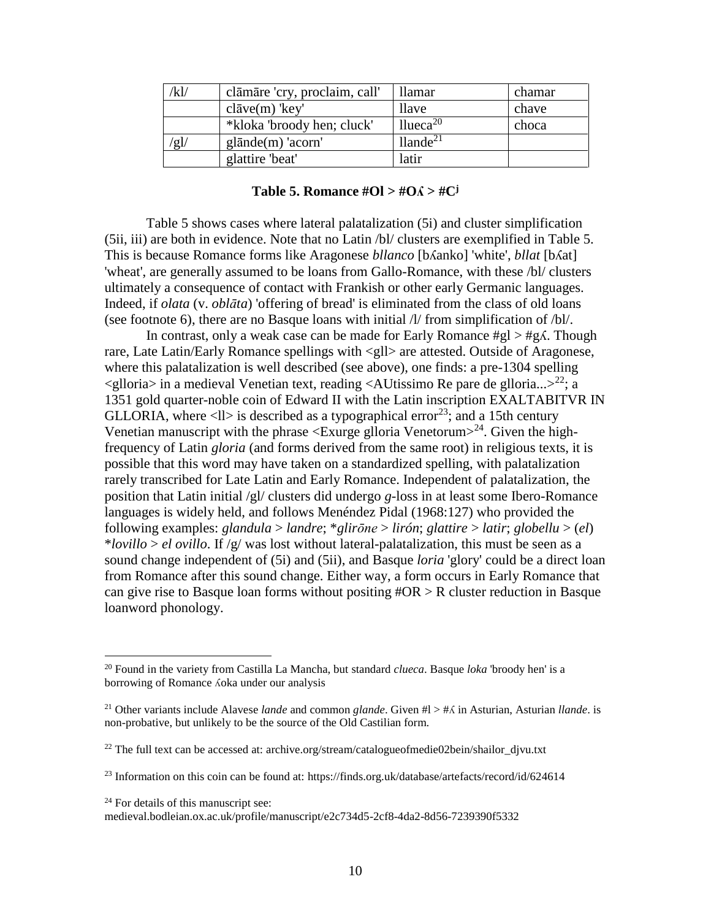| 'kl/ | clāmāre 'cry, proclaim, call' | llamar                  | chamar |
|------|-------------------------------|-------------------------|--------|
|      | $cl\bar{a}ve(m)$ 'key'        | <i>llave</i>            | chave  |
|      | *kloka 'broody hen; cluck'    | llueca <sup>20</sup>    | choca  |
| ʻg]/ | $g$ lānde $(m)$ 'acorn'       | $ll$ ande <sup>21</sup> |        |
|      | glattire 'beat'               | latir                   |        |

| Table 5. Romance $#OI > #O\Lambda > #C^j$ |  |  |  |  |  |
|-------------------------------------------|--|--|--|--|--|
|-------------------------------------------|--|--|--|--|--|

Table 5 shows cases where lateral palatalization (5i) and cluster simplification (5ii, iii) are both in evidence. Note that no Latin /bl/ clusters are exemplified in Table 5. This is because Romance forms like Aragonese *bllanco* [bʎanko] 'white', *bllat* [bʎat] 'wheat', are generally assumed to be loans from Gallo-Romance, with these /bl/ clusters ultimately a consequence of contact with Frankish or other early Germanic languages. Indeed, if *olata* (v. *oblāta*) 'offering of bread' is eliminated from the class of old loans (see footnote 6), there are no Basque loans with initial /l/ from simplification of /bl/.

In contrast, only a weak case can be made for Early Romance #gl > #gʎ. Though rare, Late Latin/Early Romance spellings with <gll> are attested. Outside of Aragonese, where this palatalization is well described (see above), one finds: a pre-1304 spelling  $\leq$ glloria> in a medieval Venetian text, reading  $\leq$ AUtissimo Re pare de glloria...><sup>22</sup>; a 1351 gold quarter-noble coin of Edward II with the Latin inscription EXALTABITVR IN GLLORIA, where  $\langle l \rangle$  is described as a typographical error<sup>23</sup>; and a 15th century Venetian manuscript with the phrase  $\langle$ Exurge glloria Venetorum $>^{24}$ . Given the highfrequency of Latin *gloria* (and forms derived from the same root) in religious texts, it is possible that this word may have taken on a standardized spelling, with palatalization rarely transcribed for Late Latin and Early Romance. Independent of palatalization, the position that Latin initial /gl/ clusters did undergo *g*-loss in at least some Ibero-Romance languages is widely held, and follows Menéndez Pidal (1968:127) who provided the following examples: *glandula* > *landre*; \**glirōne* > *lirón*; *glattire* > *latir*; *globellu* > (*el*) \**lovillo* > *el ovillo*. If /g/ was lost without lateral-palatalization, this must be seen as a sound change independent of (5i) and (5ii), and Basque *loria* 'glory' could be a direct loan from Romance after this sound change. Either way, a form occurs in Early Romance that can give rise to Basque loan forms without positing  $\text{\#OR} > \text{R}$  cluster reduction in Basque loanword phonology.

<sup>20</sup> Found in the variety from Castilla La Mancha, but standard *clueca*. Basque *loka* 'broody hen' is a borrowing of Romance ʎoka under our analysis

<sup>21</sup> Other variants include Alavese *lande* and common *glande*. Given #l > #ʎ in Asturian, Asturian *llande*. is non-probative, but unlikely to be the source of the Old Castilian form.

<sup>&</sup>lt;sup>22</sup> The full text can be accessed at: archive.org/stream/catalogueofmedie02bein/shailor djvu.txt

<sup>&</sup>lt;sup>23</sup> Information on this coin can be found at: https://finds.org.uk/database/artefacts/record/id/624614

<sup>&</sup>lt;sup>24</sup> For details of this manuscript see:

medieval.bodleian.ox.ac.uk/profile/manuscript/e2c734d5-2cf8-4da2-8d56-7239390f5332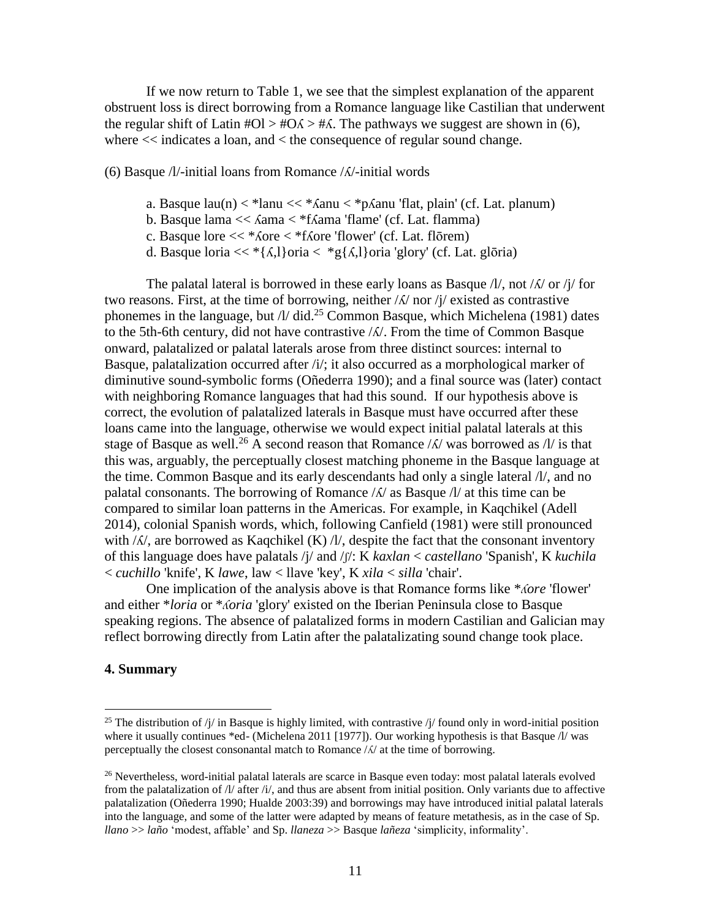If we now return to Table 1, we see that the simplest explanation of the apparent obstruent loss is direct borrowing from a Romance language like Castilian that underwent the regular shift of Latin  $\text{\#O1} > \text{\#O} \land \text{\#A}$ . The pathways we suggest are shown in (6), where  $<<$  indicates a loan, and  $<$  the consequence of regular sound change.

### (6) Basque /l/-initial loans from Romance /ʎ/-initial words

- a. Basque  $lau(n) < *lau \ll *Aanu < *pAanu$  'flat, plain' (cf. Lat. planum)
- b. Basque lama << ʎama < \*fʎama 'flame' (cf. Lat. flamma)
- c. Basque lore << \*ʎore < \*fʎore 'flower' (cf. Lat. flōrem)
- d. Basque loria  $<<$  \*{ $\Lambda$ ,}}oria  $<$  \*g{ $\Lambda$ ,}}oria 'glory' (cf. Lat. gloria)

The palatal lateral is borrowed in these early loans as Basque  $\frac{1}{1}$ , not  $\frac{1}{\Lambda}$  or  $\frac{1}{\Lambda}$  for two reasons. First, at the time of borrowing, neither  $/\lambda$  nor  $/\gamma$  existed as contrastive phonemes in the language, but /l/ did.<sup>25</sup> Common Basque, which Michelena (1981) dates to the 5th-6th century, did not have contrastive /ʎ/. From the time of Common Basque onward, palatalized or palatal laterals arose from three distinct sources: internal to Basque, palatalization occurred after /i/; it also occurred as a morphological marker of diminutive sound-symbolic forms (Oñederra 1990); and a final source was (later) contact with neighboring Romance languages that had this sound. If our hypothesis above is correct, the evolution of palatalized laterals in Basque must have occurred after these loans came into the language, otherwise we would expect initial palatal laterals at this stage of Basque as well.<sup>26</sup> A second reason that Romance  $\Lambda$  was borrowed as  $\Lambda$  is that this was, arguably, the perceptually closest matching phoneme in the Basque language at the time. Common Basque and its early descendants had only a single lateral /l/, and no palatal consonants. The borrowing of Romance  $\Lambda/\Lambda$  as Basque  $\Lambda/\Lambda$  at this time can be compared to similar loan patterns in the Americas. For example, in Kaqchikel (Adell 2014), colonial Spanish words, which, following Canfield (1981) were still pronounced with  $\Lambda$ , are borrowed as Kaqchikel (K)  $\Lambda$ , despite the fact that the consonant inventory of this language does have palatals /j/ and /ʃ/: K *kaxlan* < *castellano* 'Spanish', K *kuchila* < *cuchillo* 'knife', K *lawe*, law < llave 'key', K *xila* < *silla* 'chair'.

One implication of the analysis above is that Romance forms like \**ʎore* 'flower' and either \**loria* or \**ʎoria* 'glory' existed on the Iberian Peninsula close to Basque speaking regions. The absence of palatalized forms in modern Castilian and Galician may reflect borrowing directly from Latin after the palatalizating sound change took place.

## **4. Summary**

<sup>&</sup>lt;sup>25</sup> The distribution of /j/ in Basque is highly limited, with contrastive /j/ found only in word-initial position where it usually continues \*ed- (Michelena 2011 [1977]). Our working hypothesis is that Basque /l/ was perceptually the closest consonantal match to Romance /ʎ/ at the time of borrowing.

<sup>&</sup>lt;sup>26</sup> Nevertheless, word-initial palatal laterals are scarce in Basque even today: most palatal laterals evolved from the palatalization of /l/ after /i/, and thus are absent from initial position. Only variants due to affective palatalization (Oñederra 1990; Hualde 2003:39) and borrowings may have introduced initial palatal laterals into the language, and some of the latter were adapted by means of feature metathesis, as in the case of Sp. *llano* >> *laño* 'modest, affable' and Sp. *llaneza* >> Basque *lañeza* 'simplicity, informality'.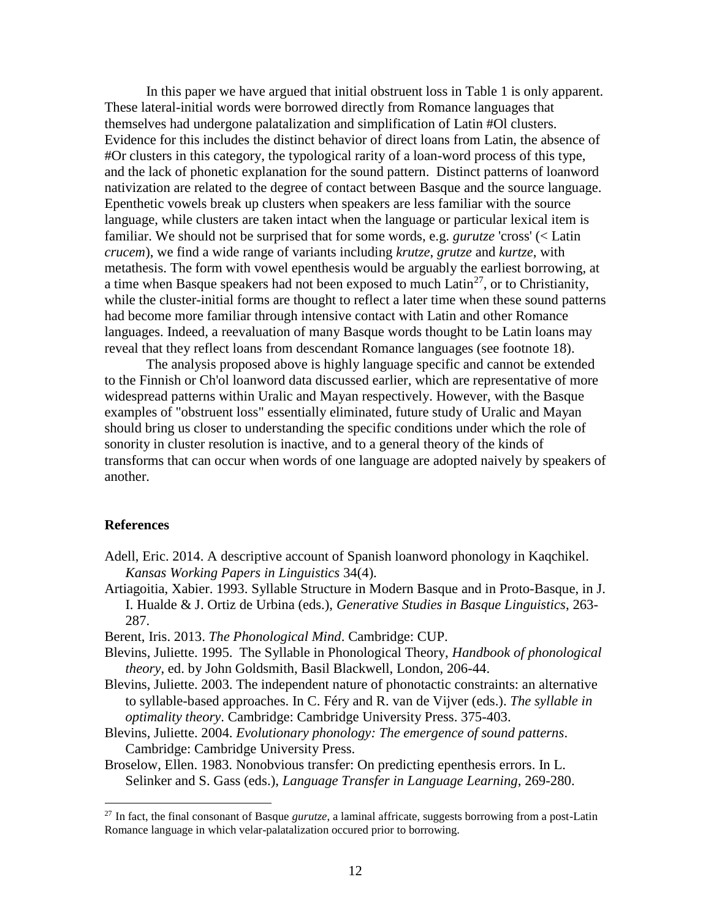In this paper we have argued that initial obstruent loss in Table 1 is only apparent. These lateral-initial words were borrowed directly from Romance languages that themselves had undergone palatalization and simplification of Latin #Ol clusters. Evidence for this includes the distinct behavior of direct loans from Latin, the absence of #Or clusters in this category, the typological rarity of a loan-word process of this type, and the lack of phonetic explanation for the sound pattern. Distinct patterns of loanword nativization are related to the degree of contact between Basque and the source language. Epenthetic vowels break up clusters when speakers are less familiar with the source language, while clusters are taken intact when the language or particular lexical item is familiar. We should not be surprised that for some words, e.g. *gurutze* 'cross' (< Latin *crucem*), we find a wide range of variants including *krutze*, *grutze* and *kurtze*, with metathesis. The form with vowel epenthesis would be arguably the earliest borrowing, at a time when Basque speakers had not been exposed to much  $Latin^{27}$ , or to Christianity, while the cluster-initial forms are thought to reflect a later time when these sound patterns had become more familiar through intensive contact with Latin and other Romance languages. Indeed, a reevaluation of many Basque words thought to be Latin loans may reveal that they reflect loans from descendant Romance languages (see footnote 18).

The analysis proposed above is highly language specific and cannot be extended to the Finnish or Ch'ol loanword data discussed earlier, which are representative of more widespread patterns within Uralic and Mayan respectively. However, with the Basque examples of "obstruent loss" essentially eliminated, future study of Uralic and Mayan should bring us closer to understanding the specific conditions under which the role of sonority in cluster resolution is inactive, and to a general theory of the kinds of transforms that can occur when words of one language are adopted naively by speakers of another.

### **References**

 $\overline{a}$ 

- Adell, Eric. 2014. A descriptive account of Spanish loanword phonology in Kaqchikel. *Kansas Working Papers in Linguistics* 34(4).
- Artiagoitia, Xabier. 1993. Syllable Structure in Modern Basque and in Proto-Basque, in J. I. Hualde & J. Ortiz de Urbina (eds.), *Generative Studies in Basque Linguistics*, 263- 287.

Berent, Iris. 2013. *The Phonological Mind*. Cambridge: CUP.

- Blevins, Juliette. 1995. The Syllable in Phonological Theory, *Handbook of phonological theory*, ed. by John Goldsmith, Basil Blackwell, London, 206-44.
- Blevins, Juliette. 2003. The independent nature of phonotactic constraints: an alternative to syllable-based approaches. In C. Féry and R. van de Vijver (eds.). *The syllable in optimality theory*. Cambridge: Cambridge University Press. 375-403.
- Blevins, Juliette. 2004. *Evolutionary phonology: The emergence of sound patterns*. Cambridge: Cambridge University Press.
- Broselow, Ellen. 1983. Nonobvious transfer: On predicting epenthesis errors. In L. Selinker and S. Gass (eds.), *Language Transfer in Language Learning*, 269-280.

<sup>27</sup> In fact, the final consonant of Basque *gurutze*, a laminal affricate, suggests borrowing from a post-Latin Romance language in which velar-palatalization occured prior to borrowing.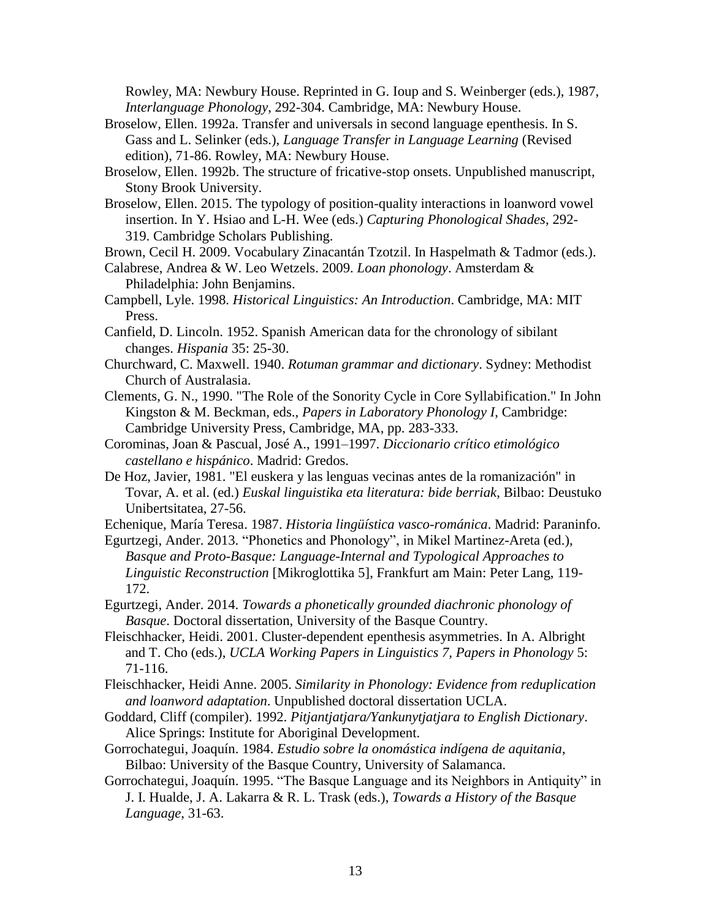Rowley, MA: Newbury House. Reprinted in G. Ioup and S. Weinberger (eds.), 1987, *Interlanguage Phonology*, 292-304. Cambridge, MA: Newbury House.

- Broselow, Ellen. 1992a. Transfer and universals in second language epenthesis. In S. Gass and L. Selinker (eds.), *Language Transfer in Language Learning* (Revised edition), 71-86. Rowley, MA: Newbury House.
- Broselow, Ellen. 1992b. The structure of fricative-stop onsets. Unpublished manuscript, Stony Brook University.
- Broselow, Ellen. 2015. The typology of position-quality interactions in loanword vowel insertion. In Y. Hsiao and L-H. Wee (eds.) *Capturing Phonological Shades,* 292- 319. Cambridge Scholars Publishing.

Brown, Cecil H. 2009. Vocabulary Zinacantán Tzotzil. In Haspelmath & Tadmor (eds.).

- Calabrese, Andrea & W. Leo Wetzels. 2009. *Loan phonology*. Amsterdam & Philadelphia: John Benjamins.
- Campbell, Lyle. 1998. *Historical Linguistics: An Introduction*. Cambridge, MA: MIT Press.
- Canfield, D. Lincoln. 1952. Spanish American data for the chronology of sibilant changes. *Hispania* 35: 25-30.
- Churchward, C. Maxwell. 1940. *Rotuman grammar and dictionary*. Sydney: Methodist Church of Australasia.
- Clements, G. N., 1990. "The Role of the Sonority Cycle in Core Syllabification." In John Kingston & M. Beckman, eds., *Papers in Laboratory Phonology I*, Cambridge: Cambridge University Press, Cambridge, MA, pp. 283-333.
- Corominas, Joan & Pascual, José A., 1991–1997. *Diccionario crítico etimológico castellano e hispánico*. Madrid: Gredos.
- De Hoz, Javier, 1981. "El euskera y las lenguas vecinas antes de la romanización" in Tovar, A. et al. (ed.) *Euskal linguistika eta literatura: bide berriak*, Bilbao: Deustuko Unibertsitatea, 27-56.

Echenique, María Teresa. 1987. *Historia lingüística vasco-románica*. Madrid: Paraninfo.

- Egurtzegi, Ander. 2013. "Phonetics and Phonology", in Mikel Martinez-Areta (ed.), *Basque and Proto-Basque: Language-Internal and Typological Approaches to Linguistic Reconstruction* [Mikroglottika 5], Frankfurt am Main: Peter Lang, 119- 172.
- Egurtzegi, Ander. 2014. *Towards a phonetically grounded diachronic phonology of Basque*. Doctoral dissertation, University of the Basque Country.
- Fleischhacker, Heidi. 2001. Cluster-dependent epenthesis asymmetries. In A. Albright and T. Cho (eds.), *UCLA Working Papers in Linguistics 7, Papers in Phonology* 5: 71-116.
- Fleischhacker, Heidi Anne. 2005. *Similarity in Phonology: Evidence from reduplication and loanword adaptation*. Unpublished doctoral dissertation UCLA.
- Goddard, Cliff (compiler). 1992. *Pitjantjatjara/Yankunytjatjara to English Dictionary*. Alice Springs: Institute for Aboriginal Development.
- Gorrochategui, Joaquín. 1984. *Estudio sobre la onomástica indígena de aquitania*, Bilbao: University of the Basque Country, University of Salamanca.
- Gorrochategui, Joaquín. 1995. "The Basque Language and its Neighbors in Antiquity" in J. I. Hualde, J. A. Lakarra & R. L. Trask (eds.), *Towards a History of the Basque Language*, 31-63.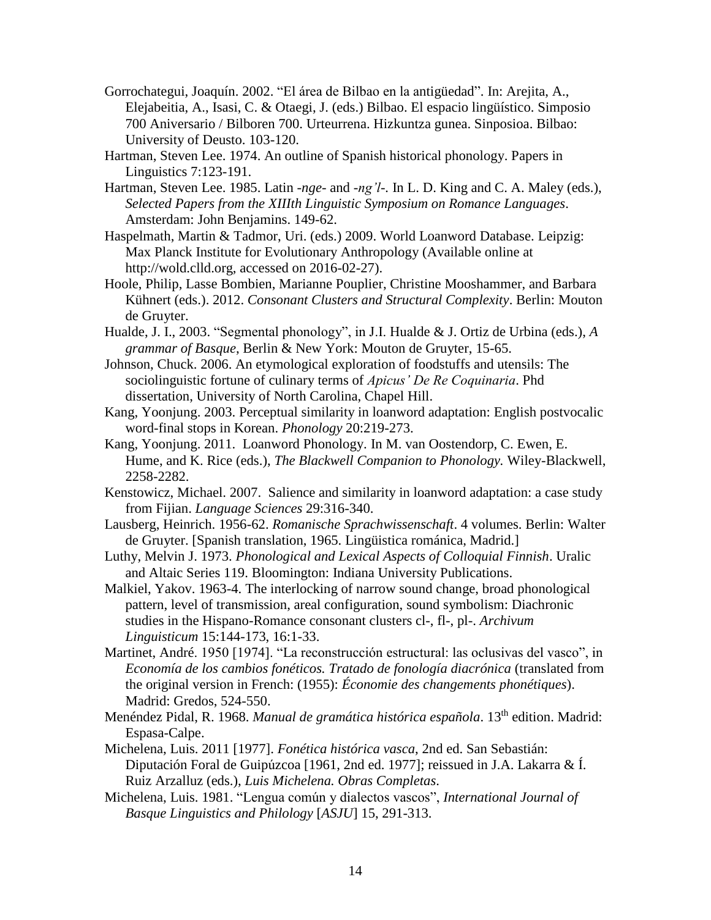- Gorrochategui, Joaquín. 2002. "El área de Bilbao en la antigüedad". In: Arejita, A., Elejabeitia, A., Isasi, C. & Otaegi, J. (eds.) Bilbao. El espacio lingüístico. Simposio 700 Aniversario / Bilboren 700. Urteurrena. Hizkuntza gunea. Sinposioa. Bilbao: University of Deusto. 103-120.
- Hartman, Steven Lee. 1974. An outline of Spanish historical phonology. Papers in Linguistics 7:123-191.
- Hartman, Steven Lee. 1985. Latin -*nge-* and -*ng'l-.* In L. D. King and C. A. Maley (eds.), *Selected Papers from the XIIIth Linguistic Symposium on Romance Languages*. Amsterdam: John Benjamins. 149-62.
- Haspelmath, Martin & Tadmor, Uri. (eds.) 2009. World Loanword Database. Leipzig: Max Planck Institute for Evolutionary Anthropology (Available online at http://wold.clld.org, accessed on 2016-02-27).
- Hoole, Philip, Lasse Bombien, Marianne Pouplier, Christine Mooshammer, and Barbara Kühnert (eds.). 2012. *Consonant Clusters and Structural Complexity*. Berlin: Mouton de Gruyter.
- Hualde, J. I., 2003. "Segmental phonology", in J.I. Hualde & J. Ortiz de Urbina (eds.), *A grammar of Basque*, Berlin & New York: Mouton de Gruyter, 15-65.
- Johnson, Chuck. 2006. An etymological exploration of foodstuffs and utensils: The sociolinguistic fortune of culinary terms of *Apicus' De Re Coquinaria*. Phd dissertation, University of North Carolina, Chapel Hill.
- Kang, Yoonjung. 2003. Perceptual similarity in loanword adaptation: English postvocalic word-final stops in Korean. *Phonology* 20:219-273.
- Kang, Yoonjung. 2011. Loanword Phonology. In M. van Oostendorp, C. Ewen, E. Hume, and K. Rice (eds.), *The Blackwell Companion to Phonology.* Wiley-Blackwell, 2258-2282.
- Kenstowicz, Michael. 2007. Salience and similarity in loanword adaptation: a case study from Fijian. *Language Sciences* 29:316-340.
- Lausberg, Heinrich. 1956-62. *Romanische Sprachwissenschaft*. 4 volumes. Berlin: Walter de Gruyter. [Spanish translation, 1965. Lingüistica románica, Madrid.]
- Luthy, Melvin J. 1973. *Phonological and Lexical Aspects of Colloquial Finnish*. Uralic and Altaic Series 119. Bloomington: Indiana University Publications.
- Malkiel, Yakov. 1963-4. The interlocking of narrow sound change, broad phonological pattern, level of transmission, areal configuration, sound symbolism: Diachronic studies in the Hispano-Romance consonant clusters cl-, fl-, pl-. *Archivum Linguisticum* 15:144-173, 16:1-33.
- Martinet, André. 1950 [1974]. "La reconstrucción estructural: las oclusivas del vasco", in *Economía de los cambios fonéticos. Tratado de fonología diacrónica* (translated from the original version in French: (1955): *Économie des changements phonétiques*). Madrid: Gredos, 524-550.
- Menéndez Pidal, R. 1968. *Manual de gramática histórica española*. 13th edition. Madrid: Espasa-Calpe.
- Michelena, Luis. 2011 [1977]. *Fonética histórica vasca*, 2nd ed. San Sebastián: Diputación Foral de Guipúzcoa [1961, 2nd ed. 1977]; reissued in J.A. Lakarra & Í. Ruiz Arzalluz (eds.), *Luis Michelena. Obras Completas*.
- Michelena, Luis. 1981. "Lengua común y dialectos vascos", *International Journal of Basque Linguistics and Philology* [*ASJU*] 15, 291-313.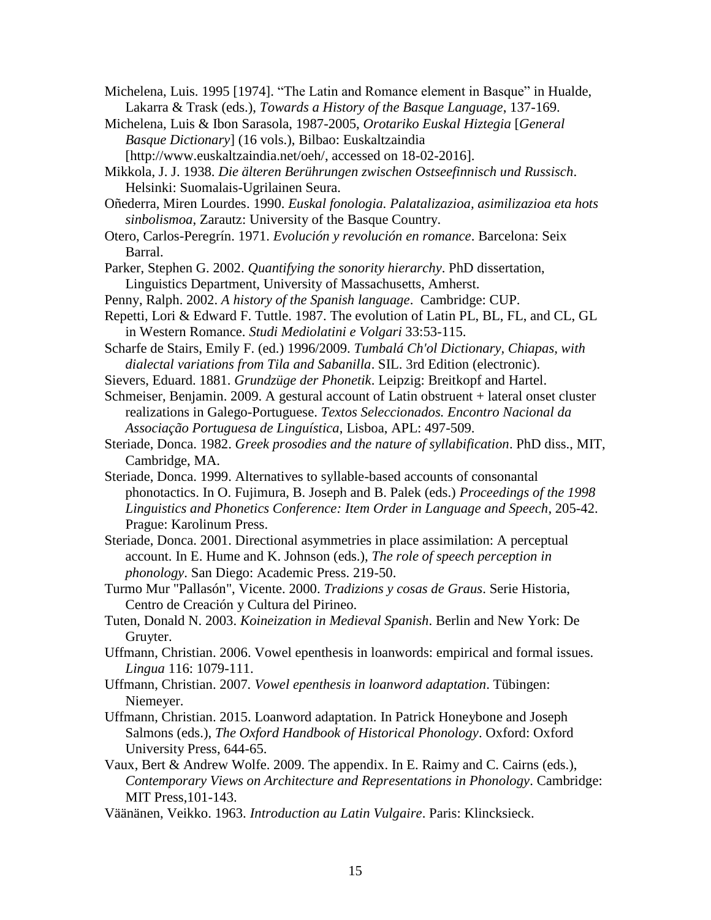Michelena, Luis. 1995 [1974]. "The Latin and Romance element in Basque" in Hualde, Lakarra & Trask (eds.), *Towards a History of the Basque Language*, 137-169.

- Michelena, Luis & Ibon Sarasola, 1987-2005, *Orotariko Euskal Hiztegia* [*General Basque Dictionary*] (16 vols.), Bilbao: Euskaltzaindia [http://www.euskaltzaindia.net/oeh/, accessed on 18-02-2016].
- Mikkola, J. J. 1938. *Die älteren Berührungen zwischen Ostseefinnisch und Russisch*. Helsinki: Suomalais-Ugrilainen Seura.

Oñederra, Miren Lourdes. 1990. *Euskal fonologia. Palatalizazioa, asimilizazioa eta hots sinbolismoa*, Zarautz: University of the Basque Country.

- Otero, Carlos-Peregrín. 1971. *Evolución y revolución en romance*. Barcelona: Seix Barral.
- Parker, Stephen G. 2002. *Quantifying the sonority hierarchy*. PhD dissertation, Linguistics Department, University of Massachusetts, Amherst.
- Penny, Ralph. 2002. *A history of the Spanish language*. Cambridge: CUP.
- Repetti, Lori & Edward F. Tuttle. 1987. The evolution of Latin PL, BL, FL, and CL, GL in Western Romance. *Studi Mediolatini e Volgari* 33:53-115.
- Scharfe de Stairs, Emily F. (ed.) 1996/2009. *Tumbalá Ch'ol Dictionary, Chiapas, with dialectal variations from Tila and Sabanilla*. SIL. 3rd Edition (electronic).
- Sievers, Eduard. 1881. *Grundzüge der Phonetik*. Leipzig: Breitkopf and Hartel.

Schmeiser, Benjamin. 2009. A gestural account of Latin obstruent + lateral onset cluster realizations in Galego-Portuguese. *Textos Seleccionados. Encontro Nacional da Associação Portuguesa de Linguística*, Lisboa, APL: 497-509.

- Steriade, Donca. 1982. *Greek prosodies and the nature of syllabification*. PhD diss., MIT, Cambridge, MA.
- Steriade, Donca. 1999. Alternatives to syllable-based accounts of consonantal phonotactics. In O. Fujimura, B. Joseph and B. Palek (eds.) *Proceedings of the 1998 Linguistics and Phonetics Conference: Item Order in Language and Speech*, 205-42. Prague: Karolinum Press.
- Steriade, Donca. 2001. Directional asymmetries in place assimilation: A perceptual account. In E. Hume and K. Johnson (eds.), *The role of speech perception in phonology*. San Diego: Academic Press. 219-50.
- Turmo Mur "Pallasón", Vicente. 2000. *Tradizions y cosas de Graus*. Serie Historia, Centro de Creación y Cultura del Pirineo.
- Tuten, Donald N. 2003. *Koineization in Medieval Spanish*. Berlin and New York: De Gruyter.
- Uffmann, Christian. 2006. Vowel epenthesis in loanwords: empirical and formal issues. *Lingua* 116: 1079-111.
- Uffmann, Christian. 2007*. Vowel epenthesis in loanword adaptation*. Tübingen: Niemeyer.
- Uffmann, Christian. 2015. Loanword adaptation. In Patrick Honeybone and Joseph Salmons (eds.), *The Oxford Handbook of Historical Phonology*. Oxford: Oxford University Press, 644-65.
- Vaux, Bert & Andrew Wolfe. 2009. The appendix. In E. Raimy and C. Cairns (eds.), *Contemporary Views on Architecture and Representations in Phonology*. Cambridge: MIT Press,101-143.
- Väänänen, Veikko. 1963. *Introduction au Latin Vulgaire*. Paris: Klincksieck.